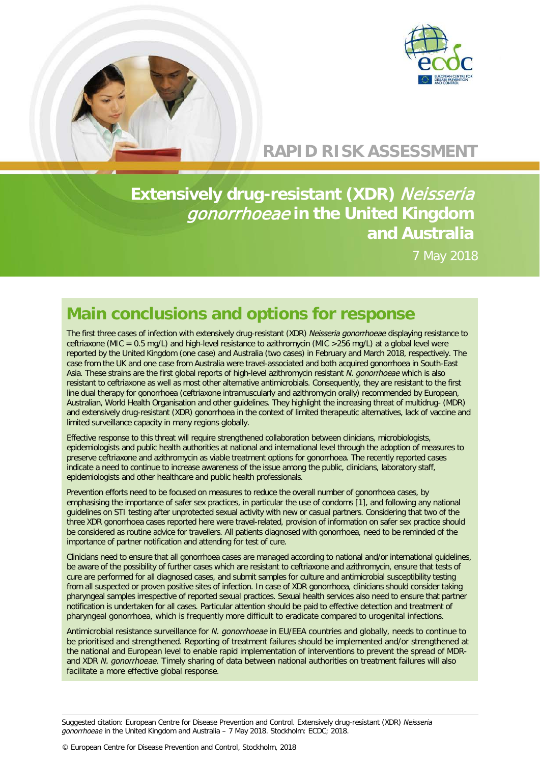

## **RAPID RISK ASSESSMENT**

**Extensively drug-resistant (XDR)** Neisseria gonorrhoeae **in the United Kingdom and Australia**

7 May 2018

## **Main conclusions and options for response**

The first three cases of infection with extensively drug-resistant (XDR) *Neisseria gonorrhoeae* displaying resistance to ceftriaxone (MIC = 0.5 mg/L) and high-level resistance to azithromycin (MIC >256 mg/L) at a global level were reported by the United Kingdom (one case) and Australia (two cases) in February and March 2018, respectively. The case from the UK and one case from Australia were travel-associated and both acquired gonorrhoea in South-East Asia. These strains are the first global reports of high-level azithromycin resistant *N. gonorrhoeae* which is also resistant to ceftriaxone as well as most other alternative antimicrobials. Consequently, they are resistant to the first line dual therapy for gonorrhoea (ceftriaxone intramuscularly and azithromycin orally) recommended by European, Australian, World Health Organisation and other guidelines. They highlight the increasing threat of multidrug- (MDR) and extensively drug-resistant (XDR) gonorrhoea in the context of limited therapeutic alternatives, lack of vaccine and limited surveillance capacity in many regions globally.

Effective response to this threat will require strengthened collaboration between clinicians, microbiologists, epidemiologists and public health authorities at national and international level through the adoption of measures to preserve ceftriaxone and azithromycin as viable treatment options for gonorrhoea. The recently reported cases indicate a need to continue to increase awareness of the issue among the public, clinicians, laboratory staff, epidemiologists and other healthcare and public health professionals.

Prevention efforts need to be focused on measures to reduce the overall number of gonorrhoea cases, by emphasising the importance of safer sex practices, in particular the use of condoms [1], and following any national guidelines on STI testing after unprotected sexual activity with new or casual partners. Considering that two of the three XDR gonorrhoea cases reported here were travel-related, provision of information on safer sex practice should be considered as routine advice for travellers. All patients diagnosed with gonorrhoea, need to be reminded of the importance of partner notification and attending for test of cure.

Clinicians need to ensure that all gonorrhoea cases are managed according to national and/or international guidelines, be aware of the possibility of further cases which are resistant to ceftriaxone and azithromycin, ensure that tests of cure are performed for all diagnosed cases, and submit samples for culture and antimicrobial susceptibility testing from all suspected or proven positive sites of infection. In case of XDR gonorrhoea, clinicians should consider taking pharyngeal samples irrespective of reported sexual practices. Sexual health services also need to ensure that partner notification is undertaken for all cases. Particular attention should be paid to effective detection and treatment of pharyngeal gonorrhoea, which is frequently more difficult to eradicate compared to urogenital infections.

Antimicrobial resistance surveillance for *N. gonorrhoeae* in EU/EEA countries and globally, needs to continue to be prioritised and strengthened. Reporting of treatment failures should be implemented and/or strengthened at the national and European level to enable rapid implementation of interventions to prevent the spread of MDRand XDR *N. gonorrhoeae*. Timely sharing of data between national authorities on treatment failures will also facilitate a more effective global response.

Suggested citation: European Centre for Disease Prevention and Control. Extensively drug-resistant (XDR) *Neisseria gonorrhoeae* in the United Kingdom and Australia – 7 May 2018. Stockholm: ECDC; 2018.

© European Centre for Disease Prevention and Control, Stockholm, 2018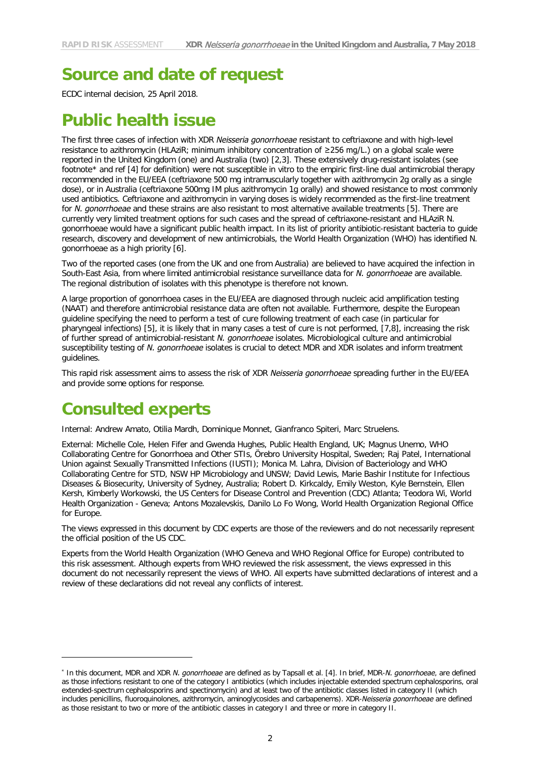# **Source and date of request**

ECDC internal decision, 25 April 2018.

## **Public health issue**

The first three cases of infection with XDR *Neisseria gonorrhoeae* resistant to ceftriaxone and with high-level resistance to azithromycin (HLAziR; minimum inhibitory concentration of ≥256 mg/L.) on a global scale were reported in the United Kingdom (one) and Australia (two) [2,3]. These extensively drug-resistant isolates (see footnote[\\*](#page-1-0) and ref [4] for definition) were not susceptible in vitro to the empiric first-line dual antimicrobial therapy recommended in the EU/EEA (ceftriaxone 500 mg intramuscularly together with azithromycin 2g orally as a single dose), or in Australia (ceftriaxone 500mg IM plus azithromycin 1g orally) and showed resistance to most commonly used antibiotics. Ceftriaxone and azithromycin in varying doses is widely recommended as the first-line treatment for *N. gonorrhoeae* and these strains are also resistant to most alternative available treatments [5]. There are currently very limited treatment options for such cases and the spread of ceftriaxone-resistant and HLAziR N. gonorrhoeae would have a significant public health impact. In its list of priority antibiotic-resistant bacteria to guide research, discovery and development of new antimicrobials, the World Health Organization (WHO) has identified N. gonorrhoeae as a high priority [6].

Two of the reported cases (one from the UK and one from Australia) are believed to have acquired the infection in South-East Asia, from where limited antimicrobial resistance surveillance data for *N. gonorrhoeae* are available. The regional distribution of isolates with this phenotype is therefore not known.

A large proportion of gonorrhoea cases in the EU/EEA are diagnosed through nucleic acid amplification testing (NAAT) and therefore antimicrobial resistance data are often not available. Furthermore, despite the European guideline specifying the need to perform a test of cure following treatment of each case (in particular for pharyngeal infections) [5], it is likely that in many cases a test of cure is not performed, [7,8], increasing the risk of further spread of antimicrobial-resistant *N. gonorrhoeae* isolates. Microbiological culture and antimicrobial susceptibility testing of *N. gonorrhoeae* isolates is crucial to detect MDR and XDR isolates and inform treatment guidelines.

This rapid risk assessment aims to assess the risk of XDR *Neisseria gonorrhoeae* spreading further in the EU/EEA and provide some options for response.

## **Consulted experts**

 $\overline{a}$ 

Internal: Andrew Amato, Otilia Mardh, Dominique Monnet, Gianfranco Spiteri, Marc Struelens.

External: Michelle Cole, Helen Fifer and Gwenda Hughes, Public Health England, UK; Magnus Unemo, WHO Collaborating Centre for Gonorrhoea and Other STIs, Örebro University Hospital, Sweden; Raj Patel, International Union against Sexually Transmitted Infections (IUSTI); Monica M. Lahra, Division of Bacteriology and WHO Collaborating Centre for STD, NSW HP Microbiology and UNSW; David Lewis, Marie Bashir Institute for Infectious Diseases & Biosecurity, University of Sydney, Australia; Robert D. Kirkcaldy, Emily Weston, Kyle Bernstein, Ellen Kersh, Kimberly Workowski, the US Centers for Disease Control and Prevention (CDC) Atlanta; Teodora Wi, World Health Organization - Geneva; Antons Mozalevskis, Danilo Lo Fo Wong, World Health Organization Regional Office for Europe.

The views expressed in this document by CDC experts are those of the reviewers and do not necessarily represent the official position of the US CDC.

Experts from the World Health Organization (WHO Geneva and WHO Regional Office for Europe) contributed to this risk assessment. Although experts from WHO reviewed the risk assessment, the views expressed in this document do not necessarily represent the views of WHO. All experts have submitted declarations of interest and a review of these declarations did not reveal any conflicts of interest.

<span id="page-1-0"></span><sup>\*</sup> In this document, MDR and XDR *N. gonorrhoeae* are defined as by Tapsall et al. [4]. In brief, MDR-*N. gonorrhoeae*, are defined as those infections resistant to one of the category I antibiotics (which includes injectable extended spectrum cephalosporins, oral extended-spectrum cephalosporins and spectinomycin) and at least two of the antibiotic classes listed in category II (which includes penicillins, fluoroquinolones, azithromycin, aminoglycosides and carbapenems). XDR-*Neisseria gonorrhoeae* are defined as those resistant to two or more of the antibiotic classes in category I and three or more in category II.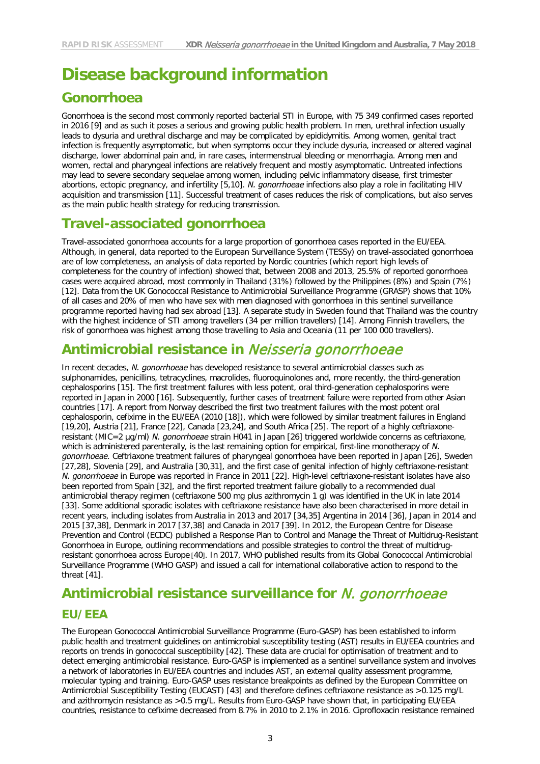# **Disease background information**

### **Gonorrhoea**

Gonorrhoea is the second most commonly reported bacterial STI in Europe, with 75 349 confirmed cases reported in 2016 [9] and as such it poses a serious and growing public health problem. In men, urethral infection usually leads to dysuria and urethral discharge and may be complicated by epididymitis. Among women, genital tract infection is frequently asymptomatic, but when symptoms occur they include dysuria, increased or altered vaginal discharge, lower abdominal pain and, in rare cases, intermenstrual bleeding or menorrhagia. Among men and women, rectal and pharyngeal infections are relatively frequent and mostly asymptomatic. Untreated infections may lead to severe secondary sequelae among women, including pelvic inflammatory disease, first trimester abortions, ectopic pregnancy, and infertility [5,10]. *N. gonorrhoeae* infections also play a role in facilitating HIV acquisition and transmission [11]. Successful treatment of cases reduces the risk of complications, but also serves as the main public health strategy for reducing transmission.

#### **Travel-associated gonorrhoea**

Travel-associated gonorrhoea accounts for a large proportion of gonorrhoea cases reported in the EU/EEA. Although, in general, data reported to the European Surveillance System (TESSy) on travel-associated gonorrhoea are of low completeness, an analysis of data reported by Nordic countries (which report high levels of completeness for the country of infection) showed that, between 2008 and 2013, 25.5% of reported gonorrhoea cases were acquired abroad, most commonly in Thailand (31%) followed by the Philippines (8%) and Spain (7%) [12]. Data from the UK Gonococcal Resistance to Antimicrobial Surveillance Programme (GRASP) shows that 10% of all cases and 20% of men who have sex with men diagnosed with gonorrhoea in this sentinel surveillance programme reported having had sex abroad [13]. A separate study in Sweden found that Thailand was the country with the highest incidence of STI among travellers (34 per million travellers) [14]. Among Finnish travellers, the risk of gonorrhoea was highest among those travelling to Asia and Oceania (11 per 100 000 travellers).

## **Antimicrobial resistance in** Neisseria gonorrhoeae

In recent decades, *N. gonorrhoeae* has developed resistance to several antimicrobial classes such as sulphonamides, penicillins, tetracyclines, macrolides, fluoroquinolones and, more recently, the third-generation cephalosporins [15]. The first treatment failures with less potent, oral third-generation cephalosporins were reported in Japan in 2000 [16]. Subsequently, further cases of treatment failure were reported from other Asian countries [17]. A report from Norway described the first two treatment failures with the most potent oral cephalosporin, cefixime in the EU/EEA (2010 [18]), which were followed by similar treatment failures in England [19,20], Austria [21], France [22], Canada [23,24], and South Africa [25]. The report of a highly ceftriaxoneresistant (MIC=2 µg/ml) *N. gonorrhoeae* strain H041 in Japan [26] triggered worldwide concerns as ceftriaxone, which is administered parenterally, is the last remaining option for empirical, first-line monotherapy of *N. gonorrhoeae*. Ceftriaxone treatment failures of pharyngeal gonorrhoea have been reported in Japan [26], Sweden [27,28], Slovenia [29], and Australia [30,31], and the first case of genital infection of highly ceftriaxone-resistant *N. gonorrhoeae* in Europe was reported in France in 2011 [22]. High-level ceftriaxone-resistant isolates have also been reported from Spain [32], and the first reported treatment failure globally to a recommended dual antimicrobial therapy regimen (ceftriaxone 500 mg plus azithromycin 1 g) was identified in the UK in late 2014 [33]. Some additional sporadic isolates with ceftriaxone resistance have also been characterised in more detail in recent years, including isolates from Australia in 2013 and 2017 [34,35] Argentina in 2014 [36], Japan in 2014 and 2015 [37,38], Denmark in 2017 [37,38] and Canada in 2017 [39]. In 2012, the European Centre for Disease Prevention and Control (ECDC) published a Response Plan to Control and Manage the Threat of Multidrug-Resistant Gonorrhoea in Europe, outlining recommendations and possible strategies to control the threat of multidrugresistant gonorrhoea across Europe [40]. In 2017, WHO published results from its Global Gonococcal Antimicrobial Surveillance Programme (WHO GASP) and issued a call for international collaborative action to respond to the threat [41].

## **Antimicrobial resistance surveillance for** N. gonorrhoeae **EU/EEA**

The European Gonococcal Antimicrobial Surveillance Programme (Euro-GASP) has been established to inform public health and treatment guidelines on antimicrobial susceptibility testing (AST) results in EU/EEA countries and reports on trends in gonococcal susceptibility [42]. These data are crucial for optimisation of treatment and to detect emerging antimicrobial resistance. Euro-GASP is implemented as a sentinel surveillance system and involves a network of laboratories in EU/EEA countries and includes AST, an external quality assessment programme, molecular typing and training. Euro-GASP uses resistance breakpoints as defined by the European Committee on Antimicrobial Susceptibility Testing (EUCAST) [43] and therefore defines ceftriaxone resistance as >0.125 mg/L and azithromycin resistance as >0.5 mg/L. Results from Euro-GASP have shown that, in participating EU/EEA countries, resistance to cefixime decreased from 8.7% in 2010 to 2.1% in 2016. Ciprofloxacin resistance remained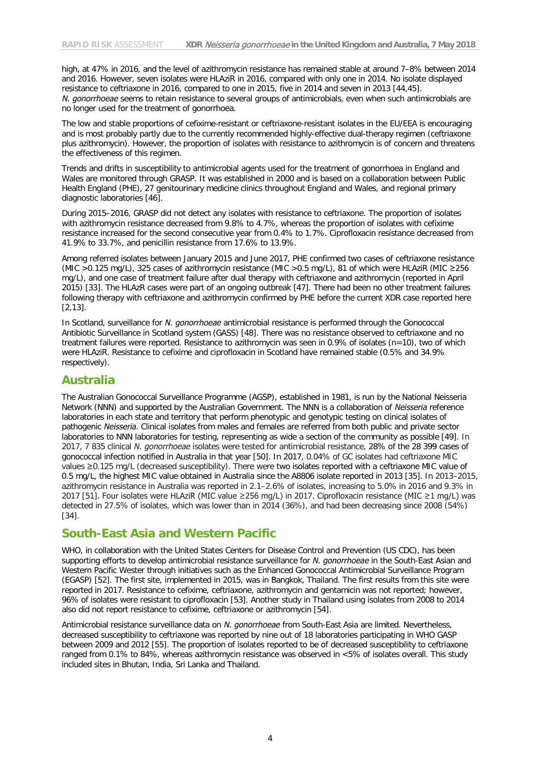high, at 47% in 2016, and the level of azithromycin resistance has remained stable at around 7–8% between 2014 and 2016. However, seven isolates were HLAziR in 2016, compared with only one in 2014. No isolate displayed resistance to ceftriaxone in 2016, compared to one in 2015, five in 2014 and seven in 2013 [44,45]. *N. gonorrhoeae* seems to retain resistance to several groups of antimicrobials, even when such antimicrobials are no longer used for the treatment of gonorrhoea.

The low and stable proportions of cefixime-resistant or ceftriaxone-resistant isolates in the EU/EEA is encouraging and is most probably partly due to the currently recommended highly-effective dual-therapy regimen (ceftriaxone plus azithromycin). However, the proportion of isolates with resistance to azithromycin is of concern and threatens the effectiveness of this regimen.

Trends and drifts in susceptibility to antimicrobial agents used for the treatment of gonorrhoea in England and Wales are monitored through GRASP. It was established in 2000 and is based on a collaboration between Public Health England (PHE), 27 genitourinary medicine clinics throughout England and Wales, and regional primary diagnostic laboratories [46].

During 2015–2016, GRASP did not detect any isolates with resistance to ceftriaxone. The proportion of isolates with azithromycin resistance decreased from 9.8% to 4.7%, whereas the proportion of isolates with cefixime resistance increased for the second consecutive year from 0.4% to 1.7%. Ciprofloxacin resistance decreased from 41.9% to 33.7%, and penicillin resistance from 17.6% to 13.9%.

Among referred isolates between January 2015 and June 2017, PHE confirmed two cases of ceftriaxone resistance (MIC >0.125 mg/L), 325 cases of azithromycin resistance (MIC >0.5 mg/L), 81 of which were HLAziR (MIC ≥256 mg/L), and one case of treatment failure after dual therapy with ceftriaxone and azithromycin (reported in April 2015) [33]. The HLAzR cases were part of an ongoing outbreak [47]. There had been no other treatment failures following therapy with ceftriaxone and azithromycin confirmed by PHE before the current XDR case reported here [2,13].

In Scotland, surveillance for *N. gonorrhoeae* antimicrobial resistance is performed through the Gonococcal Antibiotic Surveillance in Scotland system (GASS) [48]. There was no resistance observed to ceftriaxone and no treatment failures were reported. Resistance to azithromycin was seen in 0.9% of isolates (n=10), two of which were HLAziR. Resistance to cefixime and ciprofloxacin in Scotland have remained stable (0.5% and 34.9% respectively).

#### **Australia**

The Australian Gonococcal Surveillance Programme (AGSP), established in 1981, is run by the National Neisseria Network (NNN) and supported by the Australian Government. The NNN is a collaboration of *Neisseria* reference laboratories in each state and territory that perform phenotypic and genotypic testing on clinical isolates of pathogenic *Neisseria*. Clinical isolates from males and females are referred from both public and private sector laboratories to NNN laboratories for testing, representing as wide a section of the community as possible [49]. In 2017, 7 835 clinical *N. gonorrhoeae* isolates were tested for antimicrobial resistance, 28% of the 28 399 cases of gonococcal infection notified in Australia in that year [50]. In 2017, 0.04% of GC isolates had ceftriaxone MIC values ≥0.125 mg/L (decreased susceptibility). There were two isolates reported with a ceftriaxone MIC value of 0.5 mg/L, the highest MIC value obtained in Australia since the A8806 isolate reported in 2013 [35]. In 2013–2015, azithromycin resistance in Australia was reported in 2.1–2.6% of isolates, increasing to 5.0% in 2016 and 9.3% in 2017 [51]. Four isolates were HLAziR (MIC value ≥256 mg/L) in 2017. Ciprofloxacin resistance (MIC ≥1 mg/L) was detected in 27.5% of isolates, which was lower than in 2014 (36%), and had been decreasing since 2008 (54%) [34].

#### **South-East Asia and Western Pacific**

WHO, in collaboration with the United States Centers for Disease Control and Prevention (US CDC), has been supporting efforts to develop antimicrobial resistance surveillance for *N. gonorrhoeae* in the South-East Asian and Western Pacific Wester through initiatives such as the Enhanced Gonococcal Antimicrobial Surveillance Program (EGASP) [52]. The first site, implemented in 2015, was in Bangkok, Thailand. The first results from this site were reported in 2017. Resistance to cefixime, ceftriaxone, azithromycin and gentamicin was not reported; however, 96% of isolates were resistant to ciprofloxacin [53]. Another study in Thailand using isolates from 2008 to 2014 also did not report resistance to cefixime, ceftriaxone or azithromycin [54].

Antimicrobial resistance surveillance data on *N. gonorrhoeae* from South-East Asia are limited. Nevertheless, decreased susceptibility to ceftriaxone was reported by nine out of 18 laboratories participating in WHO GASP between 2009 and 2012 [55]. The proportion of isolates reported to be of decreased susceptibility to ceftriaxone ranged from 0.1% to 84%, whereas azithromycin resistance was observed in <5% of isolates overall. This study included sites in Bhutan, India, Sri Lanka and Thailand.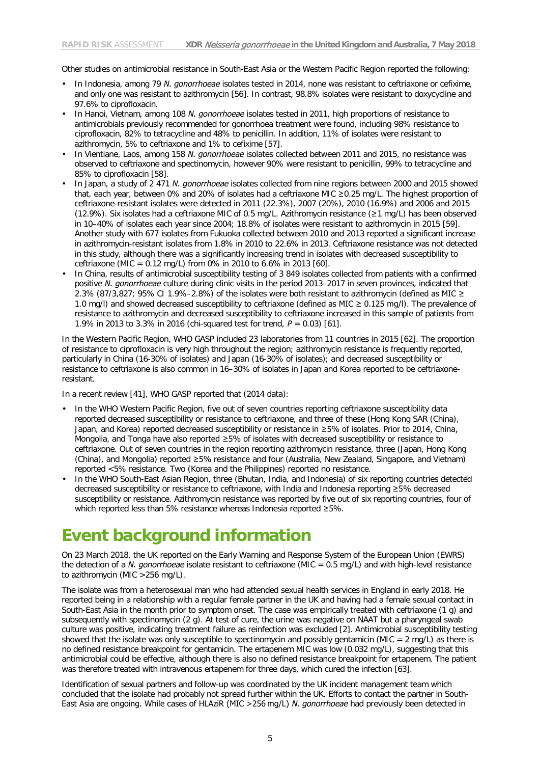Other studies on antimicrobial resistance in South-East Asia or the Western Pacific Region reported the following:

- In Indonesia, among 79 *N. gonorrhoeae* isolates tested in 2014, none was resistant to ceftriaxone or cefixime, and only one was resistant to azithromycin [56]. In contrast, 98.8% isolates were resistant to doxycycline and 97.6% to ciprofloxacin.
- In Hanoi, Vietnam, among 108 *N. gonorrhoeae* isolates tested in 2011, high proportions of resistance to antimicrobials previously recommended for gonorrhoea treatment were found, including 98% resistance to ciprofloxacin, 82% to tetracycline and 48% to penicillin. In addition, 11% of isolates were resistant to azithromycin, 5% to ceftriaxone and 1% to cefixime [57].
- In Vientiane, Laos, among 158 *N. gonorrhoeae* isolates collected between 2011 and 2015, no resistance was observed to ceftriaxone and spectinomycin, however 90% were resistant to penicillin, 99% to tetracycline and 85% to ciprofloxacin [58].
- In Japan, a study of 2 471 *N. gonorrhoeae* isolates collected from nine regions between 2000 and 2015 showed that, each year, between 0% and 20% of isolates had a ceftriaxone MIC ≥0.25 mg/L. The highest proportion of ceftriaxone-resistant isolates were detected in 2011 (22.3%), 2007 (20%), 2010 (16.9%) and 2006 and 2015 (12.9%). Six isolates had a ceftriaxone MIC of 0.5 mg/L. Azithromycin resistance (≥1 mg/L) has been observed in 10–40% of isolates each year since 2004; 18.8% of isolates were resistant to azithromycin in 2015 [59]. Another study with 677 isolates from Fukuoka collected between 2010 and 2013 reported a significant increase in azithromycin-resistant isolates from 1.8% in 2010 to 22.6% in 2013. Ceftriaxone resistance was not detected in this study, although there was a significantly increasing trend in isolates with decreased susceptibility to ceftriaxone (MIC =  $0.12 \text{ mg/L}$ ) from 0% in 2010 to 6.6% in 2013 [60].
- In China, results of antimicrobial susceptibility testing of 3 849 isolates collected from patients with a confirmed positive *N. gonorrhoeae* culture during clinic visits in the period 2013–2017 in seven provinces, indicated that 2.3% (87/3,827; 95% CI 1.9%–2.8%) of the isolates were both resistant to azithromycin (defined as MIC  $\geq$ 1.0 mg/l) and showed decreased susceptibility to ceftriaxone (defined as MIC ≥ 0.125 mg/l). The prevalence of resistance to azithromycin and decreased susceptibility to ceftriaxone increased in this sample of patients from 1.9% in 2013 to 3.3% in 2016 (chi-squared test for trend, *P* = 0.03) [61].

In the Western Pacific Region, WHO GASP included 23 laboratories from 11 countries in 2015 [62]. The proportion of resistance to ciprofloxacin is very high throughout the region; azithromycin resistance is frequently reported, particularly in China (16-30% of isolates) and Japan (16-30% of isolates); and decreased susceptibility or resistance to ceftriaxone is also common in 16–30% of isolates in Japan and Korea reported to be ceftriaxoneresistant.

In a recent review [41], WHO GASP reported that (2014 data):

- In the WHO Western Pacific Region, five out of seven countries reporting ceftriaxone susceptibility data reported decreased susceptibility or resistance to ceftriaxone, and three of these (Hong Kong SAR (China), Japan, and Korea) reported decreased susceptibility or resistance in ≥5% of isolates. Prior to 2014, China, Mongolia, and Tonga have also reported ≥5% of isolates with decreased susceptibility or resistance to ceftriaxone. Out of seven countries in the region reporting azithromycin resistance, three (Japan, Hong Kong (China), and Mongolia) reported ≥5% resistance and four (Australia, New Zealand, Singapore, and Vietnam) reported <5% resistance. Two (Korea and the Philippines) reported no resistance.
- In the WHO South-East Asian Region, three (Bhutan, India, and Indonesia) of six reporting countries detected decreased susceptibility or resistance to ceftriaxone, with India and Indonesia reporting ≥5% decreased susceptibility or resistance. Azithromycin resistance was reported by five out of six reporting countries, four of which reported less than 5% resistance whereas Indonesia reported ≥5%.

## **Event background information**

On 23 March 2018, the UK reported on the Early Warning and Response System of the European Union (EWRS) the detection of a *N. gonorrhoeae* isolate resistant to ceftriaxone (MIC = 0.5 mg/L) and with high-level resistance to azithromycin (MIC >256 mg/L).

The isolate was from a heterosexual man who had attended sexual health services in England in early 2018. He reported being in a relationship with a regular female partner in the UK and having had a female sexual contact in South-East Asia in the month prior to symptom onset. The case was empirically treated with ceftriaxone (1 g) and subsequently with spectinomycin (2 g). At test of cure, the urine was negative on NAAT but a pharyngeal swab culture was positive, indicating treatment failure as reinfection was excluded [2]. Antimicrobial susceptibility testing showed that the isolate was only susceptible to spectinomycin and possibly gentamicin (MIC =  $2 \text{ mg/L}$ ) as there is no defined resistance breakpoint for gentamicin. The ertapenem MIC was low (0.032 mg/L), suggesting that this antimicrobial could be effective, although there is also no defined resistance breakpoint for ertapenem. The patient was therefore treated with intravenous ertapenem for three days, which cured the infection [63].

Identification of sexual partners and follow-up was coordinated by the UK incident management team which concluded that the isolate had probably not spread further within the UK. Efforts to contact the partner in South-East Asia are ongoing. While cases of HLAziR (MIC >256 mg/L) *N. gonorrhoeae* had previously been detected in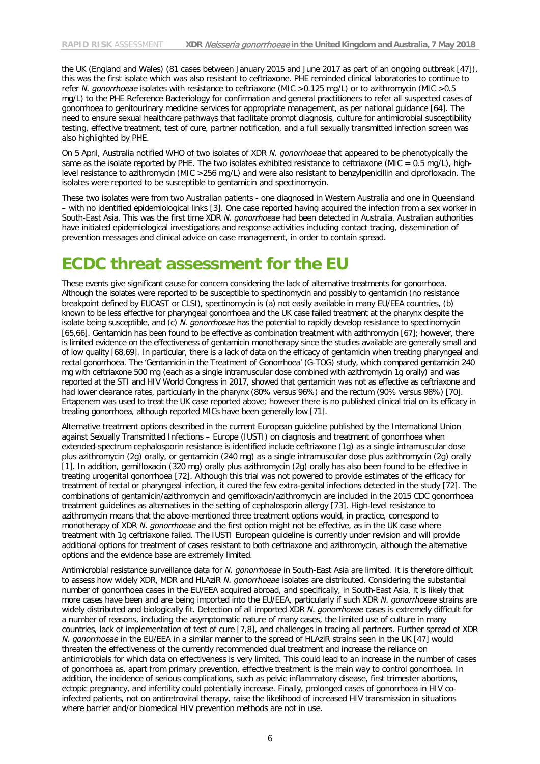the UK (England and Wales) (81 cases between January 2015 and June 2017 as part of an ongoing outbreak [47]), this was the first isolate which was also resistant to ceftriaxone. PHE reminded clinical laboratories to continue to refer *N. gonorrhoeae* isolates with resistance to ceftriaxone (MIC >0.125 mg/L) or to azithromycin (MIC >0.5 mg/L) to the PHE Reference Bacteriology for confirmation and general practitioners to refer all suspected cases of gonorrhoea to genitourinary medicine services for appropriate management, as per national guidance [64]. The need to ensure sexual healthcare pathways that facilitate prompt diagnosis, culture for antimicrobial susceptibility testing, effective treatment, test of cure, partner notification, and a full sexually transmitted infection screen was also highlighted by PHE.

On 5 April, Australia notified WHO of two isolates of XDR *N. gonorrhoeae* that appeared to be phenotypically the same as the isolate reported by PHE. The two isolates exhibited resistance to ceftriaxone (MIC =  $0.5 \text{ mg/L}$ ), highlevel resistance to azithromycin (MIC >256 mg/L) and were also resistant to benzylpenicillin and ciprofloxacin. The isolates were reported to be susceptible to gentamicin and spectinomycin.

These two isolates were from two Australian patients - one diagnosed in Western Australia and one in Queensland – with no identified epidemiological links [3]. One case reported having acquired the infection from a sex worker in South-East Asia. This was the first time XDR *N. gonorrhoeae* had been detected in Australia. Australian authorities have initiated epidemiological investigations and response activities including contact tracing, dissemination of prevention messages and clinical advice on case management, in order to contain spread.

## **ECDC threat assessment for the EU**

These events give significant cause for concern considering the lack of alternative treatments for gonorrhoea. Although the isolates were reported to be susceptible to spectinomycin and possibly to gentamicin (no resistance breakpoint defined by EUCAST or CLSI), spectinomycin is (a) not easily available in many EU/EEA countries, (b) known to be less effective for pharyngeal gonorrhoea and the UK case failed treatment at the pharynx despite the isolate being susceptible, and (c) *N. gonorrhoeae* has the potential to rapidly develop resistance to spectinomycin [65,66]. Gentamicin has been found to be effective as combination treatment with azithromycin [67]; however, there is limited evidence on the effectiveness of gentamicin monotherapy since the studies available are generally small and of low quality [68,69]. In particular, there is a lack of data on the efficacy of gentamicin when treating pharyngeal and rectal gonorrhoea. The 'Gentamicin in the Treatment of Gonorrhoea' (G-TOG) study, which compared gentamicin 240 mg with ceftriaxone 500 mg (each as a single intramuscular dose combined with azithromycin 1g orally) and was reported at the STI and HIV World Congress in 2017, showed that gentamicin was not as effective as ceftriaxone and had lower clearance rates, particularly in the pharynx (80% versus 96%) and the rectum (90% versus 98%) [70]. Ertapenem was used to treat the UK case reported above; however there is no published clinical trial on its efficacy in treating gonorrhoea, although reported MICs have been generally low [71].

Alternative treatment options described in the current European guideline published by the International Union against Sexually Transmitted Infections – Europe (IUSTI) on diagnosis and treatment of gonorrhoea when extended-spectrum cephalosporin resistance is identified include ceftriaxone (1g) as a single intramuscular dose plus azithromycin (2g) orally, or gentamicin (240 mg) as a single intramuscular dose plus azithromycin (2g) orally [1]. In addition, gemifloxacin (320 mg) orally plus azithromycin (2g) orally has also been found to be effective in treating urogenital gonorrhoea [72]. Although this trial was not powered to provide estimates of the efficacy for treatment of rectal or pharyngeal infection, it cured the few extra-genital infections detected in the study [72]. The combinations of gentamicin/azithromycin and gemifloxacin/azithromycin are included in the 2015 CDC gonorrhoea treatment guidelines as alternatives in the setting of cephalosporin allergy [73]. High-level resistance to azithromycin means that the above-mentioned three treatment options would, in practice, correspond to monotherapy of XDR *N. gonorrhoeae* and the first option might not be effective, as in the UK case where treatment with 1g ceftriaxone failed. The IUSTI European guideline is currently under revision and will provide additional options for treatment of cases resistant to both ceftriaxone and azithromycin, although the alternative options and the evidence base are extremely limited.

Antimicrobial resistance surveillance data for *N. gonorrhoeae* in South-East Asia are limited. It is therefore difficult to assess how widely XDR, MDR and HLAziR *N. gonorrhoeae* isolates are distributed. Considering the substantial number of gonorrhoea cases in the EU/EEA acquired abroad, and specifically, in South-East Asia, it is likely that more cases have been and are being imported into the EU/EEA, particularly if such XDR *N. gonorrhoeae* strains are widely distributed and biologically fit. Detection of all imported XDR *N. gonorrhoeae* cases is extremely difficult for a number of reasons, including the asymptomatic nature of many cases, the limited use of culture in many countries, lack of implementation of test of cure [7,8], and challenges in tracing all partners. Further spread of XDR *N. gonorrhoeae* in the EU/EEA in a similar manner to the spread of HLAziR strains seen in the UK [47] would threaten the effectiveness of the currently recommended dual treatment and increase the reliance on antimicrobials for which data on effectiveness is very limited. This could lead to an increase in the number of cases of gonorrhoea as, apart from primary prevention, effective treatment is the main way to control gonorrhoea. In addition, the incidence of serious complications, such as pelvic inflammatory disease, first trimester abortions, ectopic pregnancy, and infertility could potentially increase. Finally, prolonged cases of gonorrhoea in HIV coinfected patients, not on antiretroviral therapy, raise the likelihood of increased HIV transmission in situations where barrier and/or biomedical HIV prevention methods are not in use.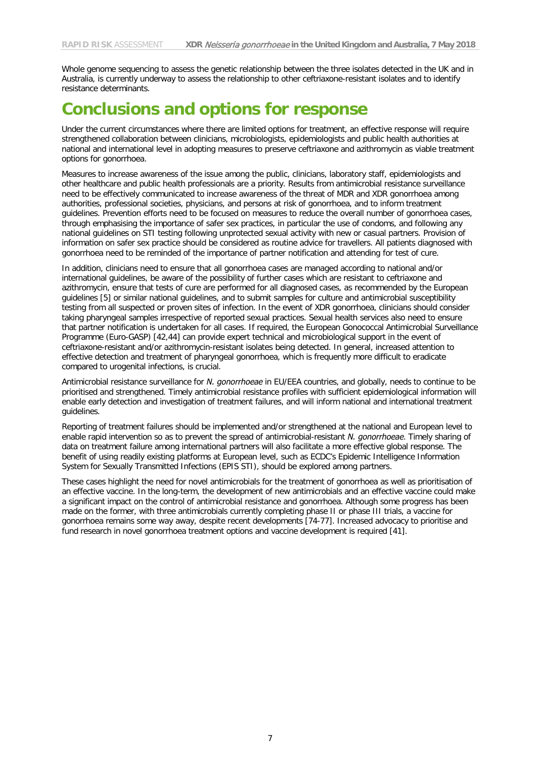Whole genome sequencing to assess the genetic relationship between the three isolates detected in the UK and in Australia, is currently underway to assess the relationship to other ceftriaxone-resistant isolates and to identify resistance determinants.

## **Conclusions and options for response**

Under the current circumstances where there are limited options for treatment, an effective response will require strengthened collaboration between clinicians, microbiologists, epidemiologists and public health authorities at national and international level in adopting measures to preserve ceftriaxone and azithromycin as viable treatment options for gonorrhoea.

Measures to increase awareness of the issue among the public, clinicians, laboratory staff, epidemiologists and other healthcare and public health professionals are a priority. Results from antimicrobial resistance surveillance need to be effectively communicated to increase awareness of the threat of MDR and XDR gonorrhoea among authorities, professional societies, physicians, and persons at risk of gonorrhoea, and to inform treatment guidelines. Prevention efforts need to be focused on measures to reduce the overall number of gonorrhoea cases, through emphasising the importance of safer sex practices, in particular the use of condoms, and following any national guidelines on STI testing following unprotected sexual activity with new or casual partners. Provision of information on safer sex practice should be considered as routine advice for travellers. All patients diagnosed with gonorrhoea need to be reminded of the importance of partner notification and attending for test of cure.

In addition, clinicians need to ensure that all gonorrhoea cases are managed according to national and/or international guidelines, be aware of the possibility of further cases which are resistant to ceftriaxone and azithromycin, ensure that tests of cure are performed for all diagnosed cases, as recommended by the European guidelines [5] or similar national guidelines, and to submit samples for culture and antimicrobial susceptibility testing from all suspected or proven sites of infection. In the event of XDR gonorrhoea, clinicians should consider taking pharyngeal samples irrespective of reported sexual practices. Sexual health services also need to ensure that partner notification is undertaken for all cases. If required, the European Gonococcal Antimicrobial Surveillance Programme (Euro-GASP) [42,44] can provide expert technical and microbiological support in the event of ceftriaxone-resistant and/or azithromycin-resistant isolates being detected. In general, increased attention to effective detection and treatment of pharyngeal gonorrhoea, which is frequently more difficult to eradicate compared to urogenital infections, is crucial.

Antimicrobial resistance surveillance for *N. gonorrhoeae* in EU/EEA countries, and globally, needs to continue to be prioritised and strengthened. Timely antimicrobial resistance profiles with sufficient epidemiological information will enable early detection and investigation of treatment failures, and will inform national and international treatment guidelines.

Reporting of treatment failures should be implemented and/or strengthened at the national and European level to enable rapid intervention so as to prevent the spread of antimicrobial-resistant *N. gonorrhoeae*. Timely sharing of data on treatment failure among international partners will also facilitate a more effective global response. The benefit of using readily existing platforms at European level, such as ECDC's Epidemic Intelligence Information System for Sexually Transmitted Infections (EPIS STI), should be explored among partners.

These cases highlight the need for novel antimicrobials for the treatment of gonorrhoea as well as prioritisation of an effective vaccine. In the long-term, the development of new antimicrobials and an effective vaccine could make a significant impact on the control of antimicrobial resistance and gonorrhoea. Although some progress has been made on the former, with three antimicrobials currently completing phase II or phase III trials, a vaccine for gonorrhoea remains some way away, despite recent developments [74-77]. Increased advocacy to prioritise and fund research in novel gonorrhoea treatment options and vaccine development is required [41].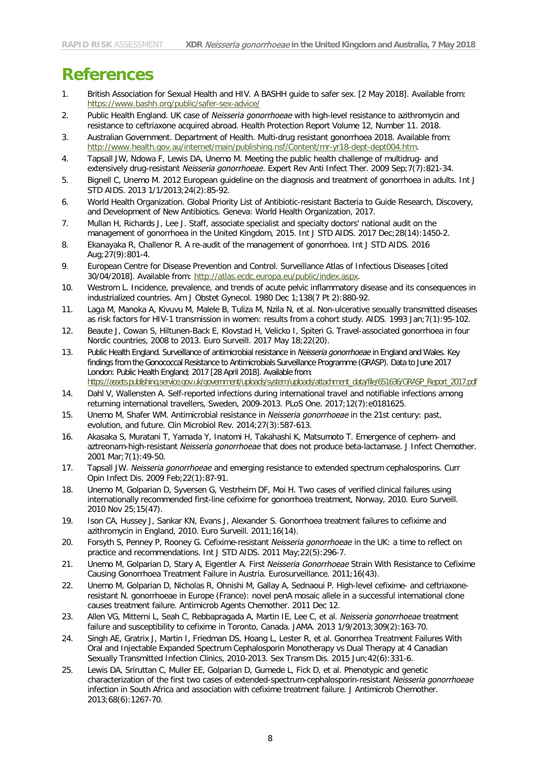## **References**

- 1. British Association for Sexual Health and HIV. A BASHH guide to safer sex. [2 May 2018]. Available from: <https://www.bashh.org/public/safer-sex-advice/>
- 2. Public Health England. UK case of *Neisseria gonorrhoeae* with high-level resistance to azithromycin and resistance to ceftriaxone acquired abroad. Health Protection Report Volume 12, Number 11. 2018.
- 3. Australian Government. Department of Health. Multi-drug resistant gonorrhoea 2018. Available from: [http://www.health.gov.au/internet/main/publishing.nsf/Content/mr-yr18-dept-dept004.htm.](http://www.health.gov.au/internet/main/publishing.nsf/Content/mr-yr18-dept-dept004.htm)
- 4. Tapsall JW, Ndowa F, Lewis DA, Unemo M. Meeting the public health challenge of multidrug- and extensively drug-resistant *Neisseria gonorrhoeae*. Expert Rev Anti Infect Ther. 2009 Sep;7(7):821-34.
- 5. Bignell C, Unemo M. 2012 European guideline on the diagnosis and treatment of gonorrhoea in adults. Int J STD AIDS. 2013 1/1/2013;24(2):85-92.
- 6. World Health Organization. Global Priority List of Antibiotic-resistant Bacteria to Guide Research, Discovery, and Development of New Antibiotics. Geneva: World Health Organization, 2017.
- 7. Mullan H, Richards J, Lee J. Staff, associate specialist and specialty doctors' national audit on the management of gonorrhoea in the United Kingdom, 2015. Int J STD AIDS. 2017 Dec;28(14):1450-2.
- 8. Ekanayaka R, Challenor R. A re-audit of the management of gonorrhoea. Int J STD AIDS. 2016 Aug;27(9):801-4.
- 9. European Centre for Disease Prevention and Control. Surveillance Atlas of Infectious Diseases [cited 30/04/2018]. Available from: [http://atlas.ecdc.europa.eu/public/index.aspx.](http://atlas.ecdc.europa.eu/public/index.aspx)
- 10. Westrom L. Incidence, prevalence, and trends of acute pelvic inflammatory disease and its consequences in industrialized countries. Am J Obstet Gynecol. 1980 Dec 1;138(7 Pt 2):880-92.
- 11. Laga M, Manoka A, Kivuvu M, Malele B, Tuliza M, Nzila N, et al. Non-ulcerative sexually transmitted diseases as risk factors for HIV-1 transmission in women: results from a cohort study. AIDS. 1993 Jan;7(1):95-102.
- 12. Beaute J, Cowan S, Hiltunen-Back E, Klovstad H, Velicko I, Spiteri G. Travel-associated gonorrhoea in four Nordic countries, 2008 to 2013. Euro Surveill. 2017 May 18;22(20).
- 13. Public Health England. Surveillance of antimicrobial resistance in *Neisseria gonorrhoeae* in England and Wales. Key findings from the Gonococcal Resistance to Antimicrobials Surveillance Programme (GRASP). Data to June 2017 London: Public Health England; 2017 [28 April 2018]. Available from: [https://assets.publishing.service.gov.uk/government/uploads/system/uploads/attachment\\_data/file/651636/GRASP\\_Report\\_2017.pdf](https://assets.publishing.service.gov.uk/government/uploads/system/uploads/attachment_data/file/651636/GRASP_Report_2017.pdf)
- 14. Dahl V, Wallensten A. Self-reported infections during international travel and notifiable infections among returning international travellers, Sweden, 2009-2013. PLoS One. 2017;12(7):e0181625.
- 15. Unemo M, Shafer WM. Antimicrobial resistance in *Neisseria gonorrhoeae* in the 21st century: past, evolution, and future. Clin Microbiol Rev. 2014;27(3):587-613.
- 16. Akasaka S, Muratani T, Yamada Y, Inatomi H, Takahashi K, Matsumoto T. Emergence of cephem- and aztreonam-high-resistant *Neisseria gonorrhoeae* that does not produce beta-lactamase. J Infect Chemother. 2001 Mar;7(1):49-50.
- 17. Tapsall JW. *Neisseria gonorrhoeae* and emerging resistance to extended spectrum cephalosporins. Curr Opin Infect Dis. 2009 Feb;22(1):87-91.
- 18. Unemo M, Golparian D, Syversen G, Vestrheim DF, Moi H. Two cases of verified clinical failures using internationally recommended first-line cefixime for gonorrhoea treatment, Norway, 2010. Euro Surveill. 2010 Nov 25;15(47).
- 19. Ison CA, Hussey J, Sankar KN, Evans J, Alexander S. Gonorrhoea treatment failures to cefixime and azithromycin in England, 2010. Euro Surveill. 2011;16(14).
- 20. Forsyth S, Penney P, Rooney G. Cefixime-resistant *Neisseria gonorrhoeae* in the UK: a time to reflect on practice and recommendations. Int J STD AIDS. 2011 May;22(5):296-7.
- 21. Unemo M, Golparian D, Stary A, Eigentler A. First *Neisseria Gonorrhoeae* Strain With Resistance to Cefixime Causing Gonorrhoea Treatment Failure in Austria. Eurosurveillance. 2011;16(43).
- 22. Unemo M, Golparian D, Nicholas R, Ohnishi M, Gallay A, Sednaoui P. High-level cefixime- and ceftriaxoneresistant N. gonorrhoeae in Europe (France): novel penA mosaic allele in a successful international clone causes treatment failure. Antimicrob Agents Chemother. 2011 Dec 12.
- 23. Allen VG, Mitterni L, Seah C, Rebbapragada A, Martin IE, Lee C, et al. *Neisseria gonorrhoeae* treatment failure and susceptibility to cefixime in Toronto, Canada. JAMA. 2013 1/9/2013;309(2):163-70.
- 24. Singh AE, Gratrix J, Martin I, Friedman DS, Hoang L, Lester R, et al. Gonorrhea Treatment Failures With Oral and Injectable Expanded Spectrum Cephalosporin Monotherapy vs Dual Therapy at 4 Canadian Sexually Transmitted Infection Clinics, 2010-2013. Sex Transm Dis. 2015 Jun;42(6):331-6.
- 25. Lewis DA, Sriruttan C, Muller EE, Golparian D, Gumede L, Fick D, et al. Phenotypic and genetic characterization of the first two cases of extended-spectrum-cephalosporin-resistant *Neisseria gonorrhoeae* infection in South Africa and association with cefixime treatment failure. J Antimicrob Chemother. 2013;68(6):1267-70.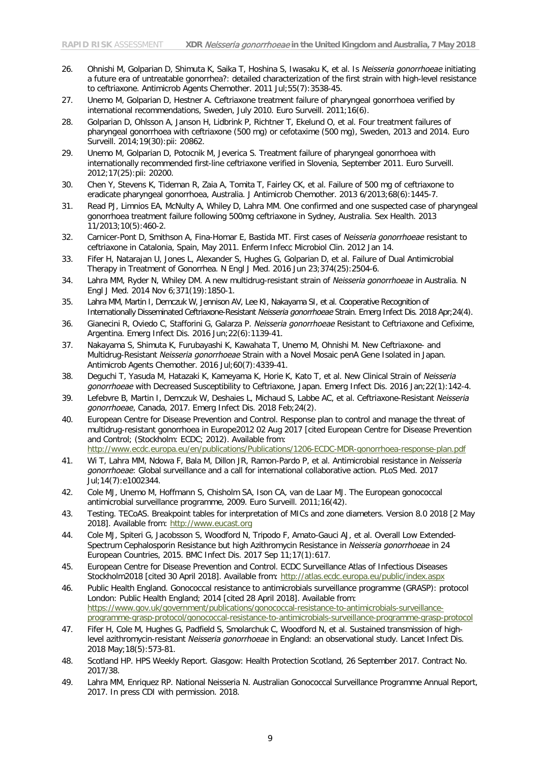- 26. Ohnishi M, Golparian D, Shimuta K, Saika T, Hoshina S, Iwasaku K, et al. Is *Neisseria gonorrhoeae* initiating a future era of untreatable gonorrhea?: detailed characterization of the first strain with high-level resistance to ceftriaxone. Antimicrob Agents Chemother. 2011 Jul;55(7):3538-45.
- 27. Unemo M, Golparian D, Hestner A. Ceftriaxone treatment failure of pharyngeal gonorrhoea verified by international recommendations, Sweden, July 2010. Euro Surveill. 2011;16(6).
- 28. Golparian D, Ohlsson A, Janson H, Lidbrink P, Richtner T, Ekelund O, et al. Four treatment failures of pharyngeal gonorrhoea with ceftriaxone (500 mg) or cefotaxime (500 mg), Sweden, 2013 and 2014. Euro Surveill. 2014;19(30):pii: 20862.
- 29. Unemo M, Golparian D, Potocnik M, Jeverica S. Treatment failure of pharyngeal gonorrhoea with internationally recommended first-line ceftriaxone verified in Slovenia, September 2011. Euro Surveill. 2012;17(25):pii: 20200.
- 30. Chen Y, Stevens K, Tideman R, Zaia A, Tomita T, Fairley CK, et al. Failure of 500 mg of ceftriaxone to eradicate pharyngeal gonorrhoea, Australia. J Antimicrob Chemother. 2013 6/2013;68(6):1445-7.
- 31. Read PJ, Limnios EA, McNulty A, Whiley D, Lahra MM. One confirmed and one suspected case of pharyngeal gonorrhoea treatment failure following 500mg ceftriaxone in Sydney, Australia. Sex Health. 2013 11/2013;10(5):460-2.
- 32. Carnicer-Pont D, Smithson A, Fina-Homar E, Bastida MT. First cases of *Neisseria gonorrhoeae* resistant to ceftriaxone in Catalonia, Spain, May 2011. Enferm Infecc Microbiol Clin. 2012 Jan 14.
- 33. Fifer H, Natarajan U, Jones L, Alexander S, Hughes G, Golparian D, et al. Failure of Dual Antimicrobial Therapy in Treatment of Gonorrhea. N Engl J Med. 2016 Jun 23;374(25):2504-6.
- 34. Lahra MM, Ryder N, Whiley DM. A new multidrug-resistant strain of *Neisseria gonorrhoeae* in Australia. N Engl J Med. 2014 Nov 6;371(19):1850-1.
- 35. Lahra MM, Martin I, Demczuk W, Jennison AV, Lee KI, Nakayama SI, et al. Cooperative Recognition of Internationally Disseminated Ceftriaxone-Resistant *Neisseria gonorrhoeae* Strain. Emerg Infect Dis. 2018 Apr;24(4).
- 36. Gianecini R, Oviedo C, Stafforini G, Galarza P. *Neisseria gonorrhoeae* Resistant to Ceftriaxone and Cefixime, Argentina. Emerg Infect Dis. 2016 Jun;22(6):1139-41.
- 37. Nakayama S, Shimuta K, Furubayashi K, Kawahata T, Unemo M, Ohnishi M. New Ceftriaxone- and Multidrug-Resistant *Neisseria gonorrhoeae* Strain with a Novel Mosaic penA Gene Isolated in Japan. Antimicrob Agents Chemother. 2016 Jul;60(7):4339-41.
- 38. Deguchi T, Yasuda M, Hatazaki K, Kameyama K, Horie K, Kato T, et al. New Clinical Strain of *Neisseria gonorrhoeae* with Decreased Susceptibility to Ceftriaxone, Japan. Emerg Infect Dis. 2016 Jan;22(1):142-4.
- 39. Lefebvre B, Martin I, Demczuk W, Deshaies L, Michaud S, Labbe AC, et al. Ceftriaxone-Resistant *Neisseria gonorrhoeae*, Canada, 2017. Emerg Infect Dis. 2018 Feb;24(2).
- 40. European Centre for Disease Prevention and Control. Response plan to control and manage the threat of multidrug-resistant gonorrhoea in Europe2012 02 Aug 2017 [cited European Centre for Disease Prevention and Control; (Stockholm: ECDC; 2012). Available from: <http://www.ecdc.europa.eu/en/publications/Publications/1206-ECDC-MDR-gonorrhoea-response-plan.pdf>
- 41. Wi T, Lahra MM, Ndowa F, Bala M, Dillon JR, Ramon-Pardo P, et al. Antimicrobial resistance in *Neisseria gonorrhoeae*: Global surveillance and a call for international collaborative action. PLoS Med. 2017 Jul;14(7):e1002344.
- 42. Cole MJ, Unemo M, Hoffmann S, Chisholm SA, Ison CA, van de Laar MJ. The European gonococcal antimicrobial surveillance programme, 2009. Euro Surveill. 2011;16(42).
- 43. Testing. TECoAS. Breakpoint tables for interpretation of MICs and zone diameters. Version 8.0 2018 [2 May 2018]. Available from: [http://www.eucast.org](http://www.eucast.org/)
- 44. Cole MJ, Spiteri G, Jacobsson S, Woodford N, Tripodo F, Amato-Gauci AJ, et al. Overall Low Extended-Spectrum Cephalosporin Resistance but high Azithromycin Resistance in *Neisseria gonorrhoeae* in 24 European Countries, 2015. BMC Infect Dis. 2017 Sep 11;17(1):617.
- 45. European Centre for Disease Prevention and Control. ECDC Surveillance Atlas of Infectious Diseases Stockholm2018 [cited 30 April 2018]. Available from:<http://atlas.ecdc.europa.eu/public/index.aspx>
- 46. Public Health England. Gonococcal resistance to antimicrobials surveillance programme (GRASP): protocol London: Public Health England; 2014 [cited 28 April 2018]. Available from: [https://www.gov.uk/government/publications/gonococcal-resistance-to-antimicrobials-surveillance](https://www.gov.uk/government/publications/gonococcal-resistance-to-antimicrobials-surveillance-programme-grasp-protocol/gonococcal-resistance-to-antimicrobials-surveillance-programme-grasp-protocol)[programme-grasp-protocol/gonococcal-resistance-to-antimicrobials-surveillance-programme-grasp-protocol](https://www.gov.uk/government/publications/gonococcal-resistance-to-antimicrobials-surveillance-programme-grasp-protocol/gonococcal-resistance-to-antimicrobials-surveillance-programme-grasp-protocol)
- 47. Fifer H, Cole M, Hughes G, Padfield S, Smolarchuk C, Woodford N, et al. Sustained transmission of highlevel azithromycin-resistant *Neisseria gonorrhoeae* in England: an observational study. Lancet Infect Dis. 2018 May;18(5):573-81.
- 48. Scotland HP. HPS Weekly Report. Glasgow: Health Protection Scotland, 26 September 2017. Contract No. 2017/38.
- 49. Lahra MM, Enriquez RP. National Neisseria N. Australian Gonococcal Surveillance Programme Annual Report, 2017. In press CDI with permission. 2018.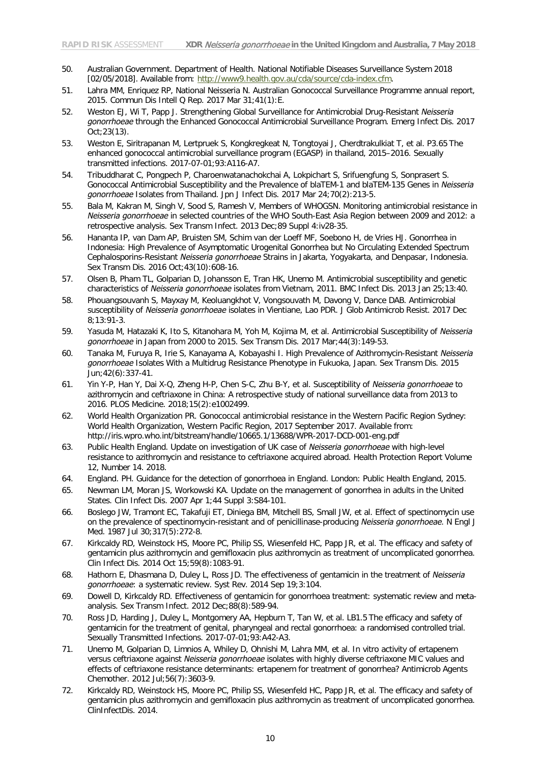- 50. Australian Government. Department of Health. National Notifiable Diseases Surveillance System 2018 [02/05/2018]. Available from: [http://www9.health.gov.au/cda/source/cda-index.cfm.](http://www9.health.gov.au/cda/source/cda-index.cfm)
- 51. Lahra MM, Enriquez RP, National Neisseria N. Australian Gonococcal Surveillance Programme annual report, 2015. Commun Dis Intell Q Rep. 2017 Mar 31;41(1):E.
- 52. Weston EJ, Wi T, Papp J. Strengthening Global Surveillance for Antimicrobial Drug-Resistant *Neisseria gonorrhoeae* through the Enhanced Gonococcal Antimicrobial Surveillance Program. Emerg Infect Dis. 2017 Oct;23(13).
- 53. Weston E, Siritrapanan M, Lertpruek S, Kongkregkeat N, Tongtoyai J, Cherdtrakulkiat T, et al. P3.65 The enhanced gonococcal antimicrobial surveillance program (EGASP) in thailand, 2015–2016. Sexually transmitted infections. 2017-07-01;93:A116-A7.
- 54. Tribuddharat C, Pongpech P, Charoenwatanachokchai A, Lokpichart S, Srifuengfung S, Sonprasert S. Gonococcal Antimicrobial Susceptibility and the Prevalence of blaTEM-1 and blaTEM-135 Genes in *Neisseria gonorrhoeae* Isolates from Thailand. Jpn J Infect Dis. 2017 Mar 24;70(2):213-5.
- 55. Bala M, Kakran M, Singh V, Sood S, Ramesh V, Members of WHOGSN. Monitoring antimicrobial resistance in *Neisseria gonorrhoeae* in selected countries of the WHO South-East Asia Region between 2009 and 2012: a retrospective analysis. Sex Transm Infect. 2013 Dec;89 Suppl 4:iv28-35.
- 56. Hananta IP, van Dam AP, Bruisten SM, Schim van der Loeff MF, Soebono H, de Vries HJ. Gonorrhea in Indonesia: High Prevalence of Asymptomatic Urogenital Gonorrhea but No Circulating Extended Spectrum Cephalosporins-Resistant *Neisseria gonorrhoeae* Strains in Jakarta, Yogyakarta, and Denpasar, Indonesia. Sex Transm Dis. 2016 Oct;43(10):608-16.
- 57. Olsen B, Pham TL, Golparian D, Johansson E, Tran HK, Unemo M. Antimicrobial susceptibility and genetic characteristics of *Neisseria gonorrhoeae* isolates from Vietnam, 2011. BMC Infect Dis. 2013 Jan 25;13:40.
- 58. Phouangsouvanh S, Mayxay M, Keoluangkhot V, Vongsouvath M, Davong V, Dance DAB. Antimicrobial susceptibility of *Neisseria gonorrhoeae* isolates in Vientiane, Lao PDR. J Glob Antimicrob Resist. 2017 Dec 8;13:91-3.
- 59. Yasuda M, Hatazaki K, Ito S, Kitanohara M, Yoh M, Kojima M, et al. Antimicrobial Susceptibility of *Neisseria gonorrhoeae* in Japan from 2000 to 2015. Sex Transm Dis. 2017 Mar;44(3):149-53.
- 60. Tanaka M, Furuya R, Irie S, Kanayama A, Kobayashi I. High Prevalence of Azithromycin-Resistant *Neisseria gonorrhoeae* Isolates With a Multidrug Resistance Phenotype in Fukuoka, Japan. Sex Transm Dis. 2015 Jun;42(6):337-41.
- 61. Yin Y-P, Han Y, Dai X-Q, Zheng H-P, Chen S-C, Zhu B-Y, et al. Susceptibility of *Neisseria gonorrhoeae* to azithromycin and ceftriaxone in China: A retrospective study of national surveillance data from 2013 to 2016. PLOS Medicine. 2018;15(2):e1002499.
- 62. World Health Organization PR. Gonococcal antimicrobial resistance in the Western Pacific Region Sydney: World Health Organization, Western Pacific Region, 2017 September 2017. Available from: http://iris.wpro.who.int/bitstream/handle/10665.1/13688/WPR-2017-DCD-001-eng.pdf
- 63. Public Health England. Update on investigation of UK case of *Neisseria gonorrhoeae* with high-level resistance to azithromycin and resistance to ceftriaxone acquired abroad. Health Protection Report Volume 12, Number 14. 2018.
- 64. England. PH. Guidance for the detection of gonorrhoea in England. London: Public Health England, 2015.
- 65. Newman LM, Moran JS, Workowski KA. Update on the management of gonorrhea in adults in the United States. Clin Infect Dis. 2007 Apr 1;44 Suppl 3:S84-101.
- 66. Boslego JW, Tramont EC, Takafuji ET, Diniega BM, Mitchell BS, Small JW, et al. Effect of spectinomycin use on the prevalence of spectinomycin-resistant and of penicillinase-producing *Neisseria gonorrhoeae*. N Engl J Med. 1987 Jul 30;317(5):272-8.
- 67. Kirkcaldy RD, Weinstock HS, Moore PC, Philip SS, Wiesenfeld HC, Papp JR, et al. The efficacy and safety of gentamicin plus azithromycin and gemifloxacin plus azithromycin as treatment of uncomplicated gonorrhea. Clin Infect Dis. 2014 Oct 15;59(8):1083-91.
- 68. Hathorn E, Dhasmana D, Duley L, Ross JD. The effectiveness of gentamicin in the treatment of *Neisseria gonorrhoeae*: a systematic review. Syst Rev. 2014 Sep 19;3:104.
- 69. Dowell D, Kirkcaldy RD. Effectiveness of gentamicin for gonorrhoea treatment: systematic review and metaanalysis. Sex Transm Infect. 2012 Dec;88(8):589-94.
- 70. Ross JD, Harding J, Duley L, Montgomery AA, Hepburn T, Tan W, et al. LB1.5 The efficacy and safety of gentamicin for the treatment of genital, pharyngeal and rectal gonorrhoea: a randomised controlled trial. Sexually Transmitted Infections. 2017-07-01;93:A42-A3.
- 71. Unemo M, Golparian D, Limnios A, Whiley D, Ohnishi M, Lahra MM, et al. In vitro activity of ertapenem versus ceftriaxone against *Neisseria gonorrhoeae* isolates with highly diverse ceftriaxone MIC values and effects of ceftriaxone resistance determinants: ertapenem for treatment of gonorrhea? Antimicrob Agents Chemother. 2012 Jul;56(7):3603-9.
- 72. Kirkcaldy RD, Weinstock HS, Moore PC, Philip SS, Wiesenfeld HC, Papp JR, et al. The efficacy and safety of gentamicin plus azithromycin and gemifloxacin plus azithromycin as treatment of uncomplicated gonorrhea. ClinInfectDis. 2014.